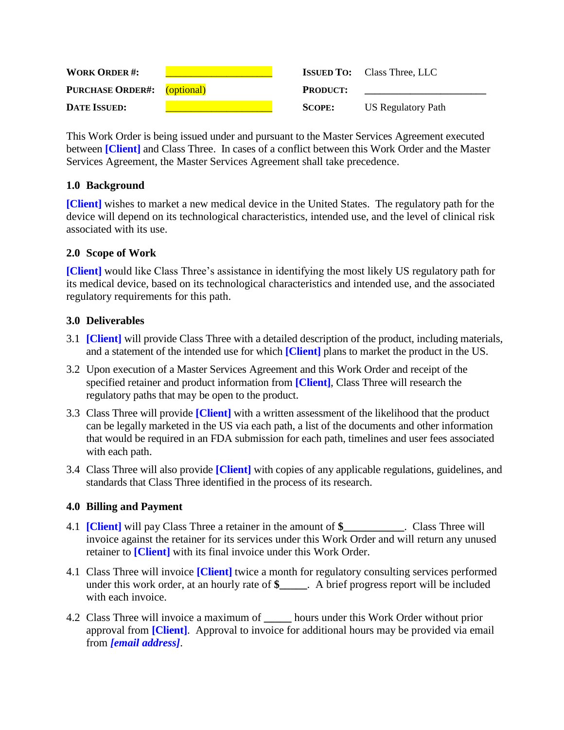| <b>WORK ORDER#:</b>                |                 | <b>ISSUED TO:</b> Class Three, LLC |
|------------------------------------|-----------------|------------------------------------|
| <b>PURCHASE ORDER#:</b> (optional) | <b>PRODUCT:</b> |                                    |
| <b>DATE ISSUED:</b>                | <b>SCOPE:</b>   | US Regulatory Path                 |

This Work Order is being issued under and pursuant to the Master Services Agreement executed between **[Client]** and Class Three. In cases of a conflict between this Work Order and the Master Services Agreement, the Master Services Agreement shall take precedence.

## **1.0 Background**

**[Client]** wishes to market a new medical device in the United States. The regulatory path for the device will depend on its technological characteristics, intended use, and the level of clinical risk associated with its use.

# **2.0 Scope of Work**

**[Client]** would like Class Three's assistance in identifying the most likely US regulatory path for its medical device, based on its technological characteristics and intended use, and the associated regulatory requirements for this path.

# **3.0 Deliverables**

- 3.1 **[Client]** will provide Class Three with a detailed description of the product, including materials, and a statement of the intended use for which **[Client]** plans to market the product in the US.
- 3.2 Upon execution of a Master Services Agreement and this Work Order and receipt of the specified retainer and product information from **[Client]**, Class Three will research the regulatory paths that may be open to the product.
- 3.3 Class Three will provide **[Client]** with a written assessment of the likelihood that the product can be legally marketed in the US via each path, a list of the documents and other information that would be required in an FDA submission for each path, timelines and user fees associated with each path.
- 3.4 Class Three will also provide **[Client]** with copies of any applicable regulations, guidelines, and standards that Class Three identified in the process of its research.

## **4.0 Billing and Payment**

- 4.1 **[Client]** will pay Class Three a retainer in the amount of **\$\_\_\_\_\_\_\_\_\_\_\_**. Class Three will invoice against the retainer for its services under this Work Order and will return any unused retainer to **[Client]** with its final invoice under this Work Order.
- 4.1 Class Three will invoice **[Client]** twice a month for regulatory consulting services performed under this work order, at an hourly rate of **\$\_\_\_\_\_**. A brief progress report will be included with each invoice.
- 4.2 Class Three will invoice a maximum of **\_\_\_\_\_** hours under this Work Order without prior approval from **[Client]**. Approval to invoice for additional hours may be provided via email from *[email address]*.